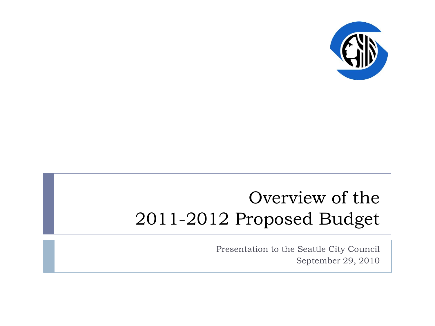

#### Overview of the 2011-2012 Proposed Budget

Presentation to the Seattle City Council September 29, 2010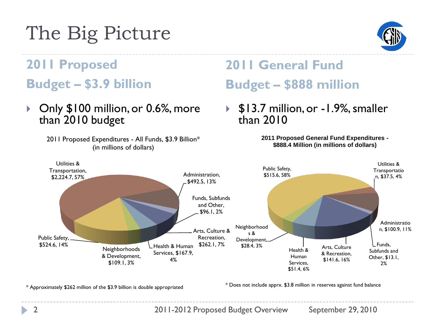# The Big Picture



#### **2011 Proposed Budget – \$3.9 billion**

▶ Only \$100 million, or 0.6%, more than 2010 budget

> 2011 Proposed Expenditures - All Funds, \$3.9 Billion\* (in millions of dollars)

#### **2011 General Fund Budget – \$888 million**

 \$13.7 million, or -1.9%, smaller than 2010

> **2011 Proposed General Fund Expenditures - \$888.4 Million (in millions of dollars)**



\* Approximately \$262 million of the \$3.9 billion is double appropriated

\* Does not include apprx. \$3.8 million in reserves against fund balance

2 2011-2012 Proposed Budget Overview September 29, 2010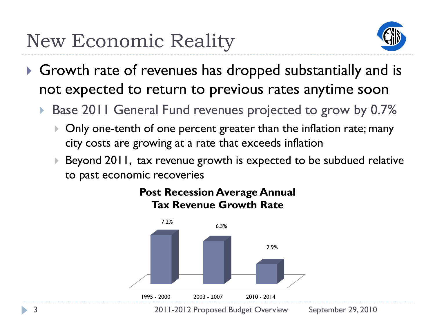## New Economic Reality



- Growth rate of revenues has dropped substantially and is not expected to return to previous rates anytime soon
	- Base 2011 General Fund revenues projected to grow by 0.7%
		- ▶ Only one-tenth of one percent greater than the inflation rate; many city costs are growing at a rate that exceeds inflation
		- Beyond 2011, tax revenue growth is expected to be subdued relative to past economic recoveries



#### **Post Recession Average Annual Tax Revenue Growth Rate**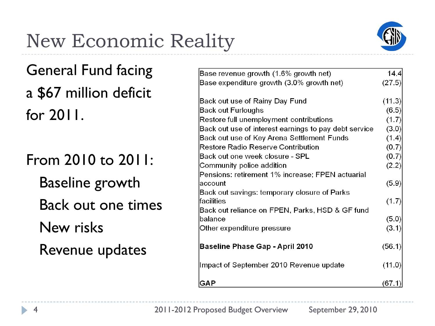# New Economic Reality



General Fund facing a \$67 million deficit for 2011.

From 2010 to 2011: Baseline growth Back out one times New risks Revenue updates

| Base revenue growth (1.6% growth net)                 | 14.4   |
|-------------------------------------------------------|--------|
| Base expenditure growth (3.0% growth net)             | (27.5) |
| Back out use of Rainy Day Fund                        | (11.3) |
| Back out Furloughs                                    | (6.5)  |
| Restore full unemployment contributions               | (1.7)  |
| Back out use of interest earnings to pay debt service | (3.0)  |
| Back out use of Key Arena Settlement Funds            | (1.4)  |
| <b>Restore Radio Reserve Contribution</b>             | (0.7)  |
| Back out one week closure - SPL                       | (0.7)  |
| Community police addition                             | (2.2)  |
| Pensions: retirement 1% increase; FPEN actuarial      |        |
| account                                               | (5.9)  |
| Back out savings: temporary closure of Parks          |        |
| facilities                                            | (1.7)  |
| Back out reliance on FPEN, Parks, HSD & GF fund       |        |
| balance                                               | (5.0)  |
| Other expenditure pressure                            | (3.1)  |
| <b>Baseline Phase Gap - April 2010</b>                | (56.1) |
| Impact of September 2010 Revenue update               | (11.0) |
| GAP                                                   | (67.1) |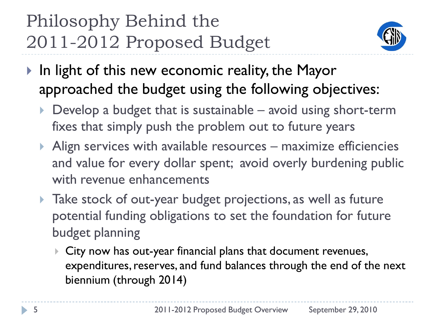## Philosophy Behind the 2011-2012 Proposed Budget



- In light of this new economic reality, the Mayor approached the budget using the following objectives:
	- $\triangleright$  Develop a budget that is sustainable avoid using short-term fixes that simply push the problem out to future years
	- $\triangleright$  Align services with available resources maximize efficiencies and value for every dollar spent; avoid overly burdening public with revenue enhancements
	- **Take stock of out-year budget projections, as well as future** potential funding obligations to set the foundation for future budget planning
		- City now has out-year financial plans that document revenues, expenditures, reserves, and fund balances through the end of the next biennium (through 2014)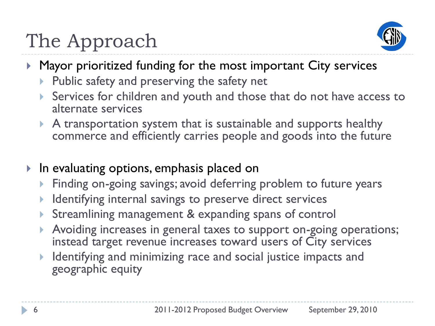# The Approach



- ▶ Mayor prioritized funding for the most important City services
	- $\triangleright$  Public safety and preserving the safety net
	- Services for children and youth and those that do not have access to alternate services
	- A transportation system that is sustainable and supports healthy commerce and efficiently carries people and goods into the future
- ▶ In evaluating options, emphasis placed on
	- ▶ Finding on-going savings; avoid deferring problem to future years
	- Identifying internal savings to preserve direct services
	- Streamlining management & expanding spans of control
	- Avoiding increases in general taxes to support on-going operations; instead target revenue increases toward users of City services
	- Identifying and minimizing race and social justice impacts and geographic equity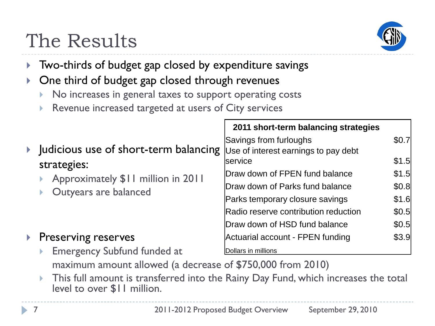

# The Results

- ▶ Two-thirds of budget gap closed by expenditure savings
- ▶ One third of budget gap closed through revenues
	- No increases in general taxes to support operating costs
	- Revenue increased targeted at users of City services

|                                                                  | 2011 short-term balancing strategies                           |       |
|------------------------------------------------------------------|----------------------------------------------------------------|-------|
| Judicious use of short-term balancing                            | Savings from furloughs<br>Use of interest earnings to pay debt | \$0.7 |
| strategies:                                                      | lservice                                                       | \$1.5 |
| Approximately \$11 million in 2011<br>Outyears are balanced<br>Þ | Draw down of FPEN fund balance                                 | \$1.5 |
|                                                                  | Draw down of Parks fund balance                                |       |
|                                                                  | Parks temporary closure savings                                | \$1.6 |
|                                                                  | Radio reserve contribution reduction                           | \$0.5 |
|                                                                  | Draw down of HSD fund balance                                  | \$0.5 |
| Preserving reserves                                              | Actuarial account - FPEN funding                               | \$3.9 |
| <b>Emergency Subfund funded at</b><br>Þ                          | Dollars in millions                                            |       |
| maximum amount allowed (a decrease of \$750,000 from 2010)       |                                                                |       |

 This full amount is transferred into the Rainy Day Fund, which increases the total level to over \$11 million.

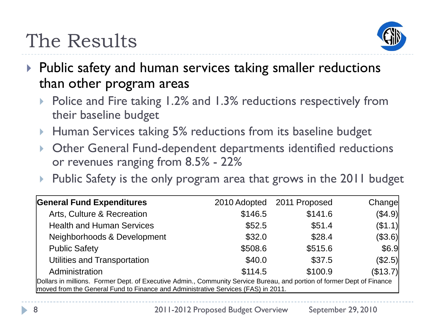

- ▶ Public safety and human services taking smaller reductions than other program areas
	- Police and Fire taking 1.2% and 1.3% reductions respectively from their baseline budget
	- **Human Services taking 5% reductions from its baseline budget**
	- Other General Fund-dependent departments identified reductions or revenues ranging from 8.5% - 22%
	- Public Safety is the only program area that grows in the 2011 budget

| <b>General Fund Expenditures</b>                                                                                                                                                                            | 2010 Adopted | 2011 Proposed | Changel  |  |
|-------------------------------------------------------------------------------------------------------------------------------------------------------------------------------------------------------------|--------------|---------------|----------|--|
| Arts, Culture & Recreation                                                                                                                                                                                  | \$146.5      | \$141.6       | (\$4.9)  |  |
| <b>Health and Human Services</b>                                                                                                                                                                            | \$52.5       | \$51.4        | (\$1.1)  |  |
| Neighborhoods & Development                                                                                                                                                                                 | \$32.0       | \$28.4        | (\$3.6)  |  |
| <b>Public Safety</b>                                                                                                                                                                                        | \$508.6      | \$515.6       | \$6.9    |  |
| Utilities and Transportation                                                                                                                                                                                | \$40.0       | \$37.5        | (\$2.5)  |  |
| Administration                                                                                                                                                                                              | \$114.5      | \$100.9       | (\$13.7) |  |
| Dollars in millions. Former Dept. of Executive Admin., Community Service Bureau, and portion of former Dept of Finance<br>moved from the General Fund to Finance and Administrative Services (FAS) in 2011. |              |               |          |  |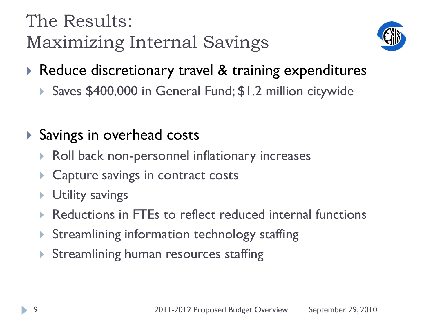## The Results: Maximizing Internal Savings



- ▶ Reduce discretionary travel & training expenditures
	- Saves \$400,000 in General Fund; \$1.2 million citywide

#### ▶ Savings in overhead costs

- ▶ Roll back non-personnel inflationary increases
- **Capture savings in contract costs**
- Utility savings
- Reductions in FTEs to reflect reduced internal functions
- ▶ Streamlining information technology staffing
- **Streamlining human resources staffing**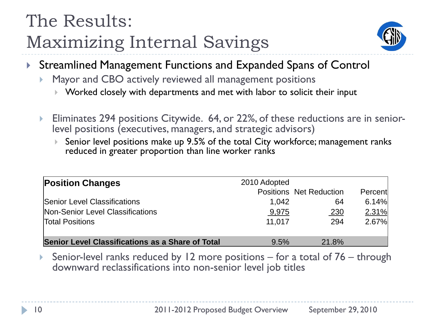## The Results: Maximizing Internal Savings



- ▶ Streamlined Management Functions and Expanded Spans of Control
	- Mayor and CBO actively reviewed all management positions
		- Worked closely with departments and met with labor to solicit their input
	- Eliminates 294 positions Citywide. 64, or 22%, of these reductions are in seniorlevel positions (executives, managers, and strategic advisors)
		- ▶ Senior level positions make up 9.5% of the total City workforce; management ranks reduced in greater proportion than line worker ranks

| <b>Position Changes</b>                                 | 2010 Adopted |                                |         |  |
|---------------------------------------------------------|--------------|--------------------------------|---------|--|
|                                                         |              | <b>Positions Net Reduction</b> | Percent |  |
| Senior Level Classifications                            | 1,042        | 64                             | 6.14%   |  |
| Non-Senior Level Classifications                        | 9,975        | <u>230</u>                     | 2.31%   |  |
| <b>Total Positions</b>                                  | 11,017       | 294                            | 2.67%   |  |
| <b>Senior Level Classifications as a Share of Total</b> | 9.5%         | 21.8%                          |         |  |

 Senior-level ranks reduced by 12 more positions – for a total of 76 – through downward reclassifications into non-senior level job titles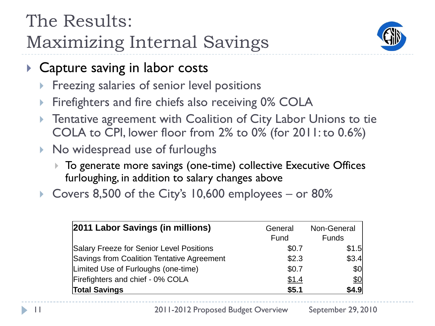## The Results: Maximizing Internal Savings



- ▶ Capture saving in labor costs
	- **Filter** Freezing salaries of senior level positions
	- Firefighters and fire chiefs also receiving 0% COLA
	- **Tentative agreement with Coalition of City Labor Unions to tie** COLA to CPI, lower floor from 2% to 0% (for 2011: to 0.6%)
	- ▶ No widespread use of furloughs
		- ▶ To generate more savings (one-time) collective Executive Offices furloughing, in addition to salary changes above
	- Covers 8,500 of the City's 10,600 employees or 80%

| 2011 Labor Savings (in millions)           | General<br>Fund | Non-General<br><b>Funds</b> |
|--------------------------------------------|-----------------|-----------------------------|
| Salary Freeze for Senior Level Positions   | \$0.7           | \$1.5                       |
| Savings from Coalition Tentative Agreement | \$2.3           | \$3.4                       |
| Limited Use of Furloughs (one-time)        | \$0.7           | \$0                         |
| Firefighters and chief - 0% COLA           | \$1.4           | \$0                         |
| <b>Total Savings</b>                       | \$5.1           | \$4.9                       |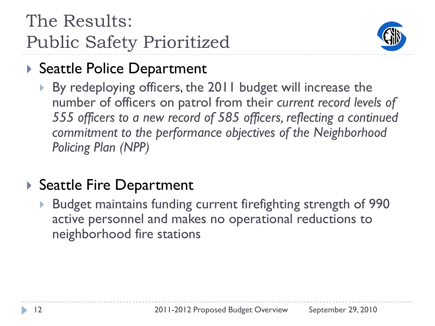

#### ▶ Seattle Police Department

 By redeploying officers, the 2011 budget will increase the number of officers on patrol from their *current record levels of 555 officers to a new record of 585 officers, reflecting a continued commitment to the performance objectives of the Neighborhood Policing Plan (NPP)*

#### ▶ Seattle Fire Department

 Budget maintains funding current firefighting strength of 990 active personnel and makes no operational reductions to neighborhood fire stations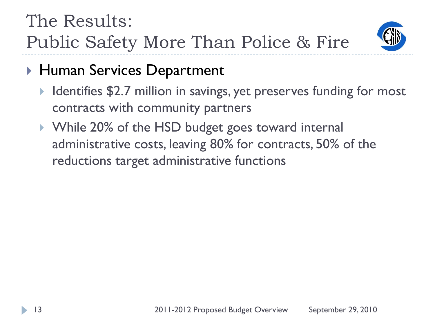

- ▶ Human Services Department
	- Identifies \$2.7 million in savings, yet preserves funding for most contracts with community partners
	- ▶ While 20% of the HSD budget goes toward internal administrative costs, leaving 80% for contracts, 50% of the reductions target administrative functions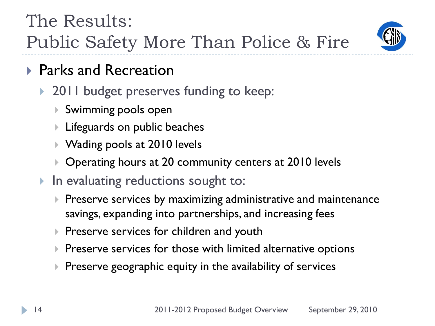

- ▶ Parks and Recreation
	- 2011 budget preserves funding to keep:
		- Swimming pools open
		- Lifeguards on public beaches
		- ▶ Wading pools at 2010 levels
		- ▶ Operating hours at 20 community centers at 2010 levels
	- ▶ In evaluating reductions sought to:
		- $\triangleright$  Preserve services by maximizing administrative and maintenance savings, expanding into partnerships, and increasing fees
		- $\triangleright$  Preserve services for children and youth
		- $\blacktriangleright$  Preserve services for those with limited alternative options
		- $\blacktriangleright$  Preserve geographic equity in the availability of services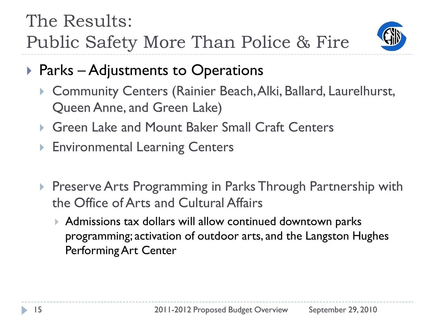

- ▶ Parks Adjustments to Operations
	- ▶ Community Centers (Rainier Beach, Alki, Ballard, Laurelhurst, Queen Anne, and Green Lake)
	- ▶ Green Lake and Mount Baker Small Craft Centers
	- ▶ Environmental Learning Centers
	- **Preserve Arts Programming in Parks Through Partnership with** the Office of Arts and Cultural Affairs
		- Admissions tax dollars will allow continued downtown parks programming; activation of outdoor arts, and the Langston Hughes Performing Art Center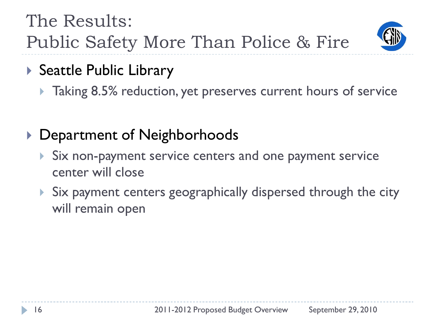

- ▶ Seattle Public Library
	- **Taking 8.5% reduction, yet preserves current hours of service**
- ▶ Department of Neighborhoods
	- Six non-payment service centers and one payment service center will close
	- ▶ Six payment centers geographically dispersed through the city will remain open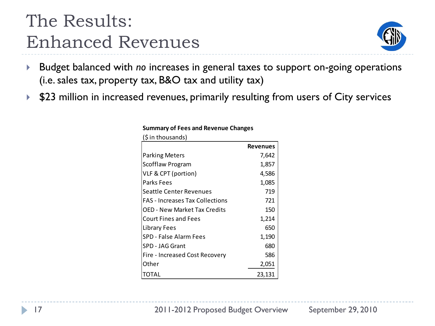## The Results: Enhanced Revenues



- Budget balanced with *no* increases in general taxes to support on-going operations (i.e. sales tax, property tax, B&O tax and utility tax)
- ▶ \$23 million in increased revenues, primarily resulting from users of City services

| (\$ in thousands)                      |                 |
|----------------------------------------|-----------------|
|                                        | <b>Revenues</b> |
| Parking Meters                         | 7,642           |
| Scofflaw Program                       | 1,857           |
| VLF & CPT (portion)                    | 4,586           |
| Parks Fees                             | 1,085           |
| Seattle Center Revenues                | 719             |
| <b>FAS</b> - Increases Tax Collections | 721             |
| OED - New Market Tax Credits           | 150             |
| Court Fines and Fees                   | 1,214           |
| Library Fees                           | 650             |
| SPD - False Alarm Fees                 | 1,190           |
| SPD - JAG Grant                        | 680             |
| Fire - Increased Cost Recovery         | 586             |
| Other                                  | 2,051           |
| TOTAL                                  | 23,131          |

#### **Summary of Fees and Revenue Changes**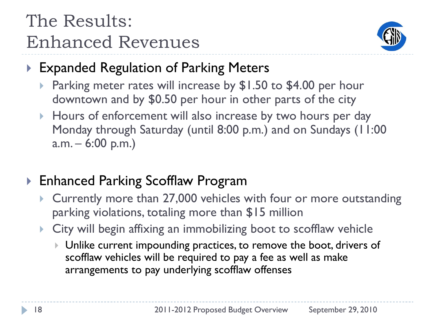## The Results: Enhanced Revenues



#### ▶ Expanded Regulation of Parking Meters

- Parking meter rates will increase by \$1.50 to \$4.00 per hour downtown and by \$0.50 per hour in other parts of the city
- Hours of enforcement will also increase by two hours per day Monday through Saturday (until 8:00 p.m.) and on Sundays (11:00  $a.m. - 6:00 p.m.$

#### ▶ Enhanced Parking Scofflaw Program

- ▶ Currently more than 27,000 vehicles with four or more outstanding parking violations, totaling more than \$15 million
- City will begin affixing an immobilizing boot to scofflaw vehicle
	- ▶ Unlike current impounding practices, to remove the boot, drivers of scofflaw vehicles will be required to pay a fee as well as make arrangements to pay underlying scofflaw offenses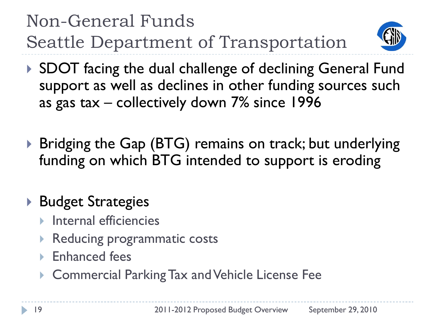Non-General Funds Seattle Department of Transportation



- ▶ SDOT facing the dual challenge of declining General Fund support as well as declines in other funding sources such as gas tax – collectively down 7% since 1996
- ▶ Bridging the Gap (BTG) remains on track; but underlying funding on which BTG intended to support is eroding

#### ▶ Budget Strategies

- Internal efficiencies
- Reducing programmatic costs
- Enhanced fees
- ▶ Commercial Parking Tax and Vehicle License Fee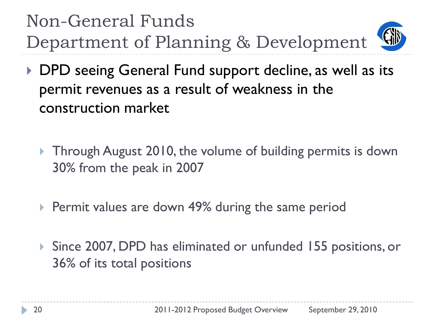Non-General Funds Department of Planning & Development

- ▶ DPD seeing General Fund support decline, as well as its permit revenues as a result of weakness in the construction market
	- ▶ Through August 2010, the volume of building permits is down 30% from the peak in 2007
	- **Permit values are down 49% during the same period**
	- ▶ Since 2007, DPD has eliminated or unfunded 155 positions, or 36% of its total positions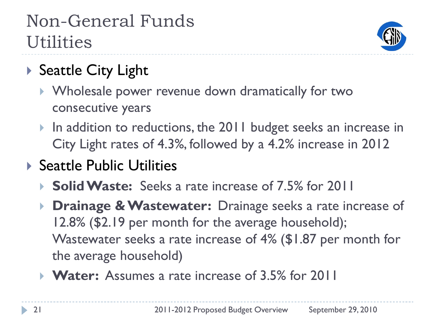## Non-General Funds **Utilities**



- ▶ Seattle City Light
	- Wholesale power revenue down dramatically for two consecutive years
	- In addition to reductions, the 2011 budget seeks an increase in City Light rates of 4.3%, followed by a 4.2% increase in 2012
- ▶ Seattle Public Utilities
	- **► Solid Waste:** Seeks a rate increase of 7.5% for 2011
	- **Drainage & Wastewater:** Drainage seeks a rate increase of 12.8% (\$2.19 per month for the average household); Wastewater seeks a rate increase of 4% (\$1.87 per month for the average household)
	- **► Water:** Assumes a rate increase of 3.5% for 2011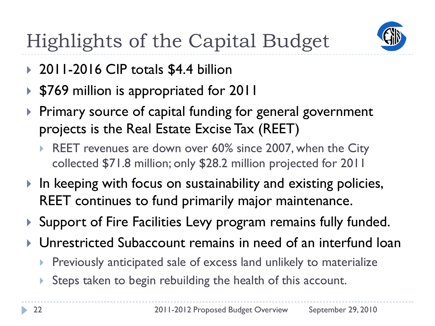

- ▶ 2011-2016 CIP totals \$4.4 billion
- ▶ \$769 million is appropriated for 2011
- ▶ Primary source of capital funding for general government projects is the Real Estate Excise Tax (REET)
	- REET revenues are down over 60% since 2007, when the City collected \$71.8 million; only \$28.2 million projected for 2011
- $\blacktriangleright$  In keeping with focus on sustainability and existing policies, REET continues to fund primarily major maintenance.
- ▶ Support of Fire Facilities Levy program remains fully funded.
- Unrestricted Subaccount remains in need of an interfund loan
	- Previously anticipated sale of excess land unlikely to materialize
	- Steps taken to begin rebuilding the health of this account.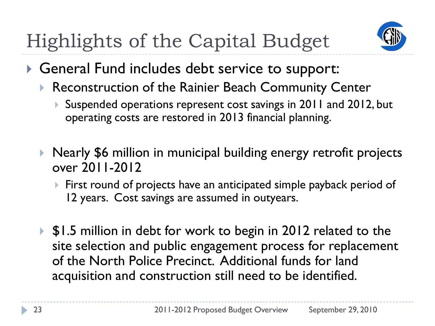

- General Fund includes debt service to support:
	- ▶ Reconstruction of the Rainier Beach Community Center
		- Suspended operations represent cost savings in 2011 and 2012, but operating costs are restored in 2013 financial planning.
	- ▶ Nearly \$6 million in municipal building energy retrofit projects over 2011-2012
		- First round of projects have an anticipated simple payback period of 12 years. Cost savings are assumed in outyears.
	- ▶ \$1.5 million in debt for work to begin in 2012 related to the site selection and public engagement process for replacement of the North Police Precinct. Additional funds for land acquisition and construction still need to be identified.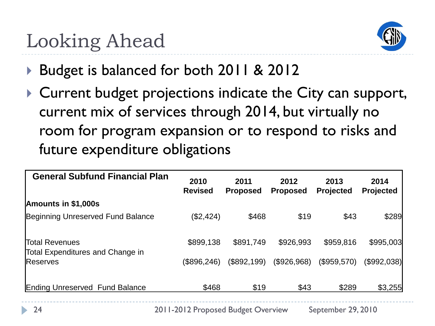# Looking Ahead



- Budget is balanced for both 2011 & 2012
- ▶ Current budget projections indicate the City can support, current mix of services through 2014, but virtually no room for program expansion or to respond to risks and future expenditure obligations

| <b>General Subfund Financial Plan</b>                     | 2010<br><b>Revised</b> | 2011<br><b>Proposed</b> | 2012<br><b>Proposed</b> | 2013<br><b>Projected</b> | 2014<br>Projected |
|-----------------------------------------------------------|------------------------|-------------------------|-------------------------|--------------------------|-------------------|
| Amounts in \$1,000s                                       |                        |                         |                         |                          |                   |
| Beginning Unreserved Fund Balance                         | (\$2,424)              | \$468                   | \$19                    | \$43                     | \$289             |
| <b>Total Revenues</b><br>Total Expenditures and Change in | \$899,138              | \$891,749               | \$926,993               | \$959,816                | \$995,003         |
| <b>Reserves</b>                                           | (\$896,246)            | (\$892,199)             | (\$926,968)             | (\$959,570)              | (\$992,038)       |
| <b>Ending Unreserved Fund Balance</b>                     | \$468                  | \$19                    | \$43                    | \$289                    | \$3,255           |

24 2011-2012 Proposed Budget Overview September 29, 2010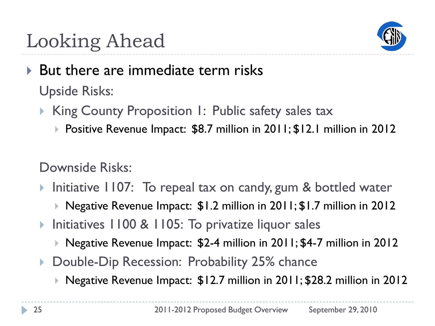

# Looking Ahead

- But there are immediate term risks Upside Risks:
	- King County Proposition 1: Public safety sales tax
		- ▶ Positive Revenue Impact: \$8.7 million in 2011; \$12.1 million in 2012

Downside Risks:

- Initiative 1107: To repeal tax on candy, gum & bottled water
	- ▶ Negative Revenue Impact: \$1.2 million in 2011; \$1.7 million in 2012
- ▶ Initiatives 1100 & 1105: To privatize liquor sales
	- Negative Revenue Impact: \$2-4 million in 2011; \$4-7 million in 2012
- ▶ Double-Dip Recession: Probability 25% chance
	- ▶ Negative Revenue Impact: \$12.7 million in 2011; \$28.2 million in 2012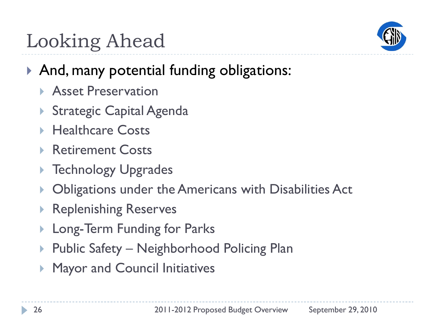

# Looking Ahead

#### ▶ And, many potential funding obligations:

- ▶ Asset Preservation
- ▶ Strategic Capital Agenda
- ▶ Healthcare Costs
- ▶ Retirement Costs
- ▶ Technology Upgrades
- Obligations under the Americans with Disabilities Act
- Replenishing Reserves
- Long-Term Funding for Parks
- Public Safety Neighborhood Policing Plan
- Mayor and Council Initiatives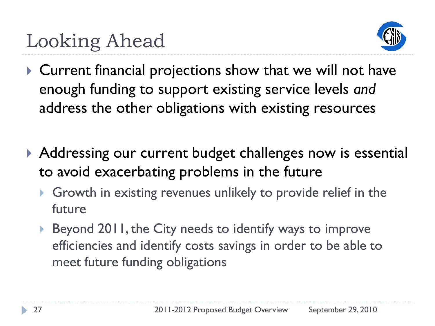

- Current financial projections show that we will not have enough funding to support existing service levels *and* address the other obligations with existing resources
- ▶ Addressing our current budget challenges now is essential to avoid exacerbating problems in the future
	- Growth in existing revenues unlikely to provide relief in the future
	- ▶ Beyond 2011, the City needs to identify ways to improve efficiencies and identify costs savings in order to be able to meet future funding obligations